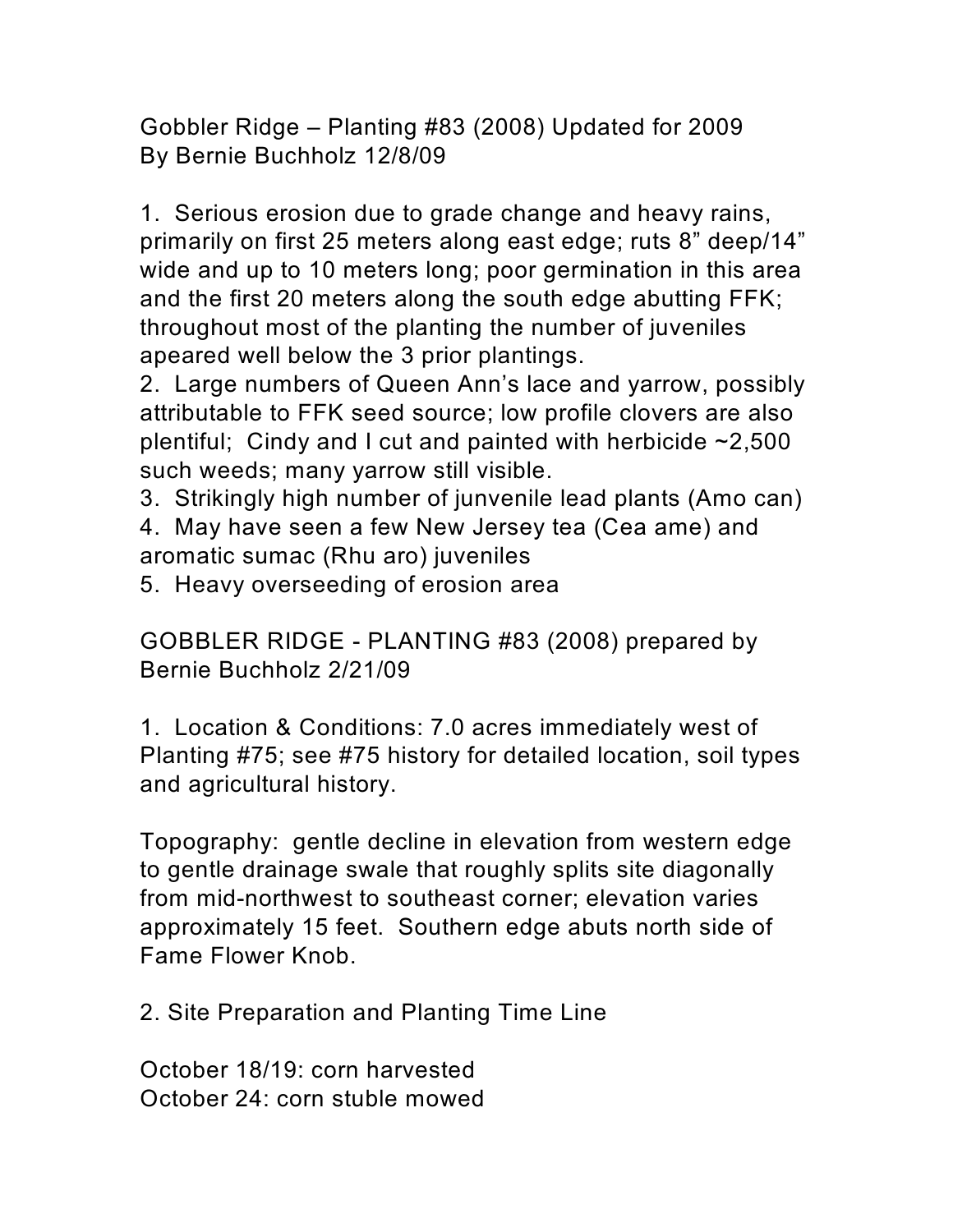Gobbler Ridge – Planting #83 (2008) Updated for 2009 By Bernie Buchholz 12/8/09

1. Serious erosion due to grade change and heavy rains, primarily on first 25 meters along east edge; ruts 8" deep/14" wide and up to 10 meters long; poor germination in this area and the first 20 meters along the south edge abutting FFK; throughout most of the planting the number of juveniles apeared well below the 3 prior plantings.

2. Large numbers of Queen Ann's lace and yarrow, possibly attributable to FFK seed source; low profile clovers are also plentiful; Cindy and I cut and painted with herbicide  $\sim$ 2,500 such weeds; many yarrow still visible.

3. Strikingly high number of junvenile lead plants (Amo can) 4. May have seen a few New Jersey tea (Cea ame) and aromatic sumac (Rhu aro) juveniles

5. Heavy overseeding of erosion area

GOBBLER RIDGE - PLANTING #83 (2008) prepared by Bernie Buchholz 2/21/09

1. Location & Conditions: 7.0 acres immediately west of Planting #75; see #75 history for detailed location, soil types and agricultural history.

Topography: gentle decline in elevation from western edge to gentle drainage swale that roughly splits site diagonally from mid-northwest to southeast corner; elevation varies approximately 15 feet. Southern edge abuts north side of Fame Flower Knob.

2. Site Preparation and Planting Time Line

October 18/19: corn harvested October 24: corn stuble mowed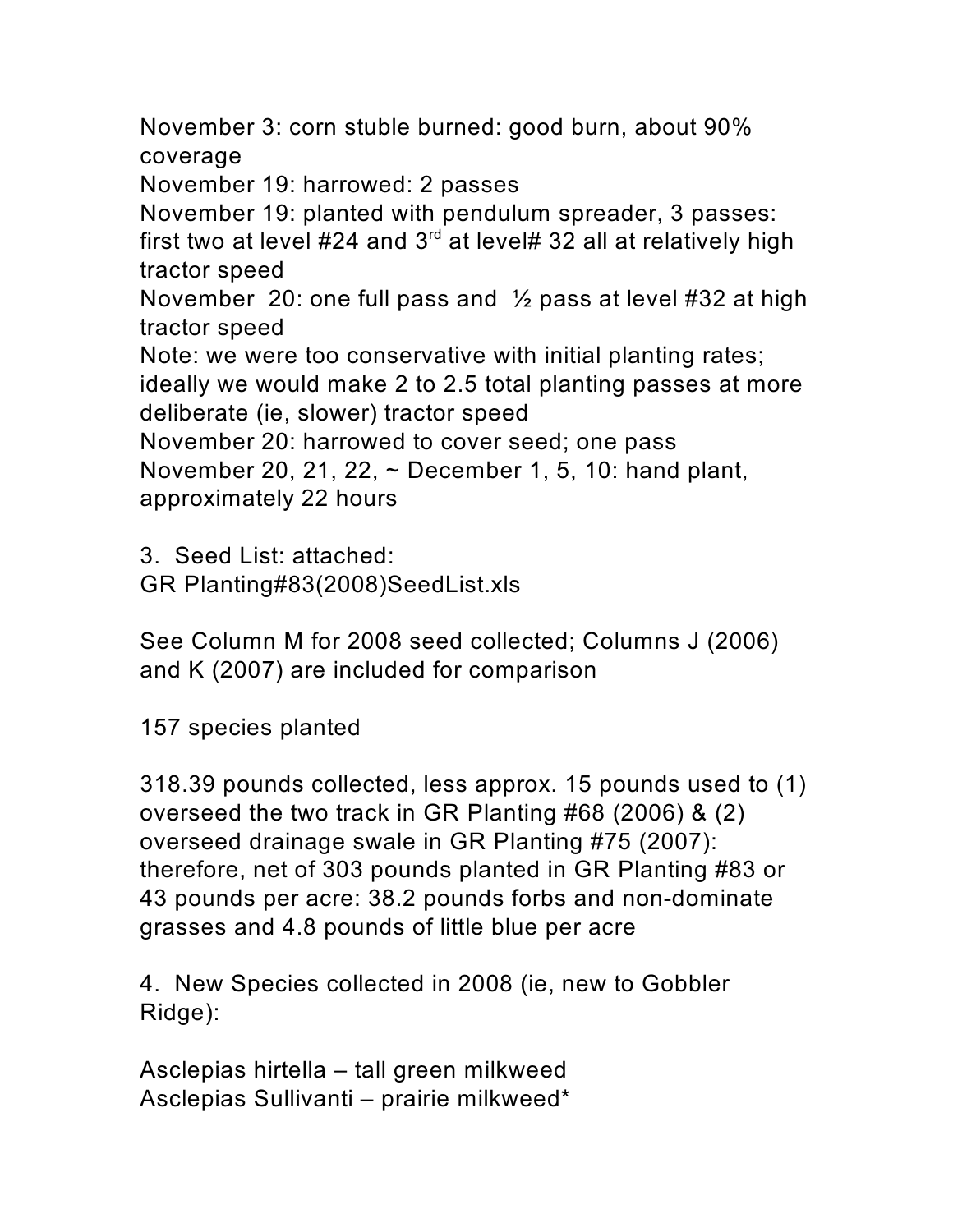November 3: corn stuble burned: good burn, about 90% coverage November 19: harrowed: 2 passes November 19: planted with pendulum spreader, 3 passes: first two at level #24 and  $3<sup>rd</sup>$  at level# 32 all at relatively high tractor speed November 20: one full pass and  $\frac{1}{2}$  pass at level #32 at high tractor speed Note: we were too conservative with initial planting rates; ideally we would make 2 to 2.5 total planting passes at more deliberate (ie, slower) tractor speed November 20: harrowed to cover seed; one pass November 20, 21, 22, ~ December 1, 5, 10: hand plant, approximately 22 hours

3. Seed List: attached: GR Planting#83(2008)SeedList.xls

See Column M for 2008 seed collected; Columns J (2006) and K (2007) are included for comparison

157 species planted

318.39 pounds collected, less approx. 15 pounds used to (1) overseed the two track in GR Planting #68 (2006) & (2) overseed drainage swale in GR Planting #75 (2007): therefore, net of 303 pounds planted in GR Planting #83 or 43 pounds per acre: 38.2 pounds forbs and non-dominate grasses and 4.8 pounds of little blue per acre

4. New Species collected in 2008 (ie, new to Gobbler Ridge):

Asclepias hirtella – tall green milkweed Asclepias Sullivanti – prairie milkweed\*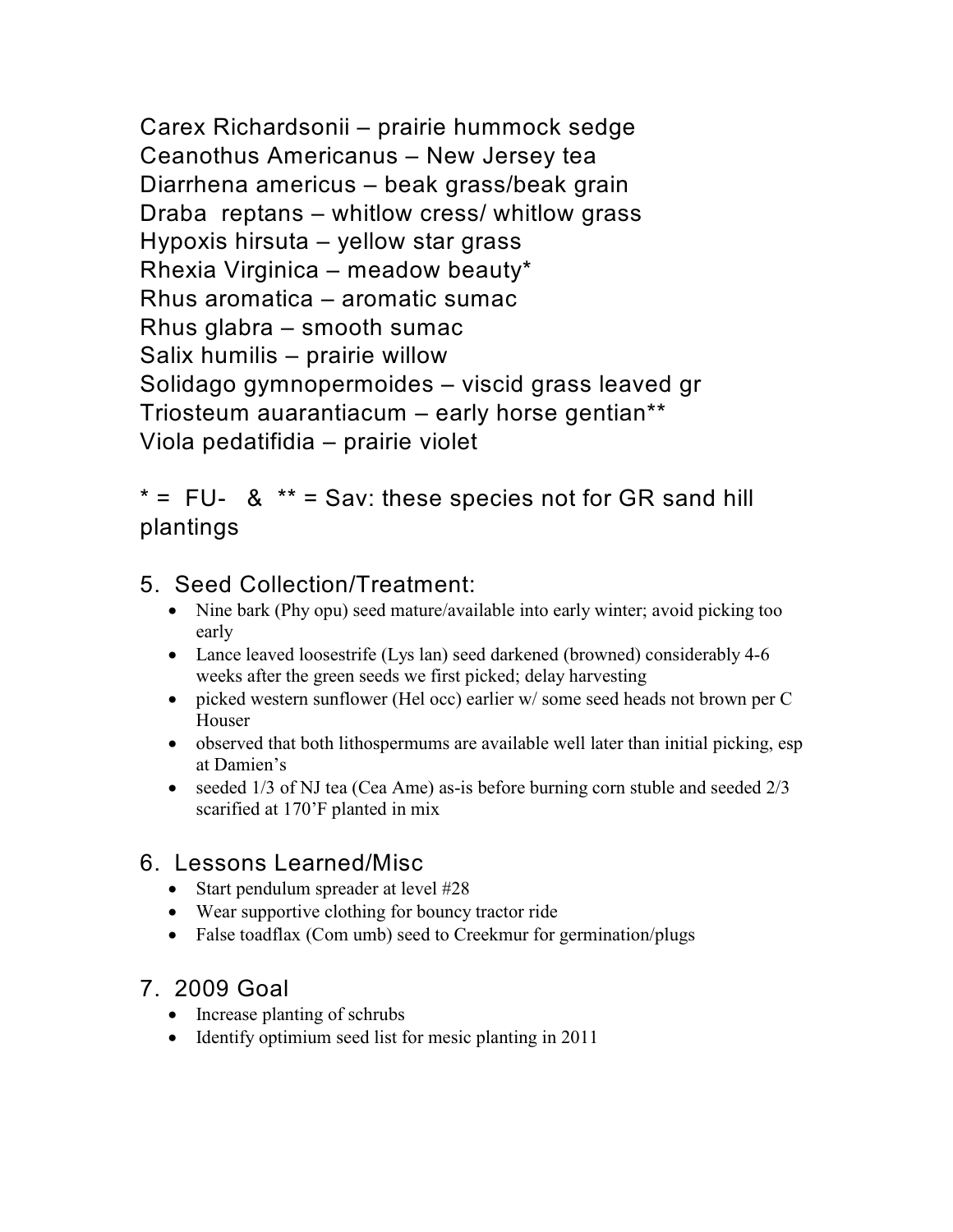Carex Richardsonii – prairie hummock sedge Ceanothus Americanus – New Jersey tea Diarrhena americus – beak grass/beak grain Draba reptans – whitlow cress/ whitlow grass Hypoxis hirsuta – yellow star grass Rhexia Virginica – meadow beauty\* Rhus aromatica – aromatic sumac Rhus glabra – smooth sumac Salix humilis – prairie willow Solidago gymnopermoides – viscid grass leaved gr Triosteum auarantiacum – early horse gentian\*\* Viola pedatifidia – prairie violet

## $* = FU- 8$  \*\* = Sav: these species not for GR sand hill plantings

## 5. Seed Collection/Treatment:

Nine bark (Phy opu) seed mature/available into early winter; avoid picking too early

Lance leaved loosestrife (Lys lan) seed darkened (browned) considerably 4-6 weeks after the green seeds we first picked; delay harvesting

picked western sunflower (Hel occ) earlier w/ some seed heads not brown per C Houser

observed that both lithospermums are available well later than initial picking, esp at Damien's

seeded 1/3 of NJ tea (Cea Ame) as-is before burning corn stuble and seeded 2/3 scarified at 170'F planted in mix

## 6. Lessons Learned/Misc

Start pendulum spreader at level #28 Wear supportive clothing for bouncy tractor ride False toadflax (Com umb) seed to Creekmur for germination/plugs

## 7. 2009 Goal

Increase planting of schrubs Identify optimium seed list for mesic planting in 2011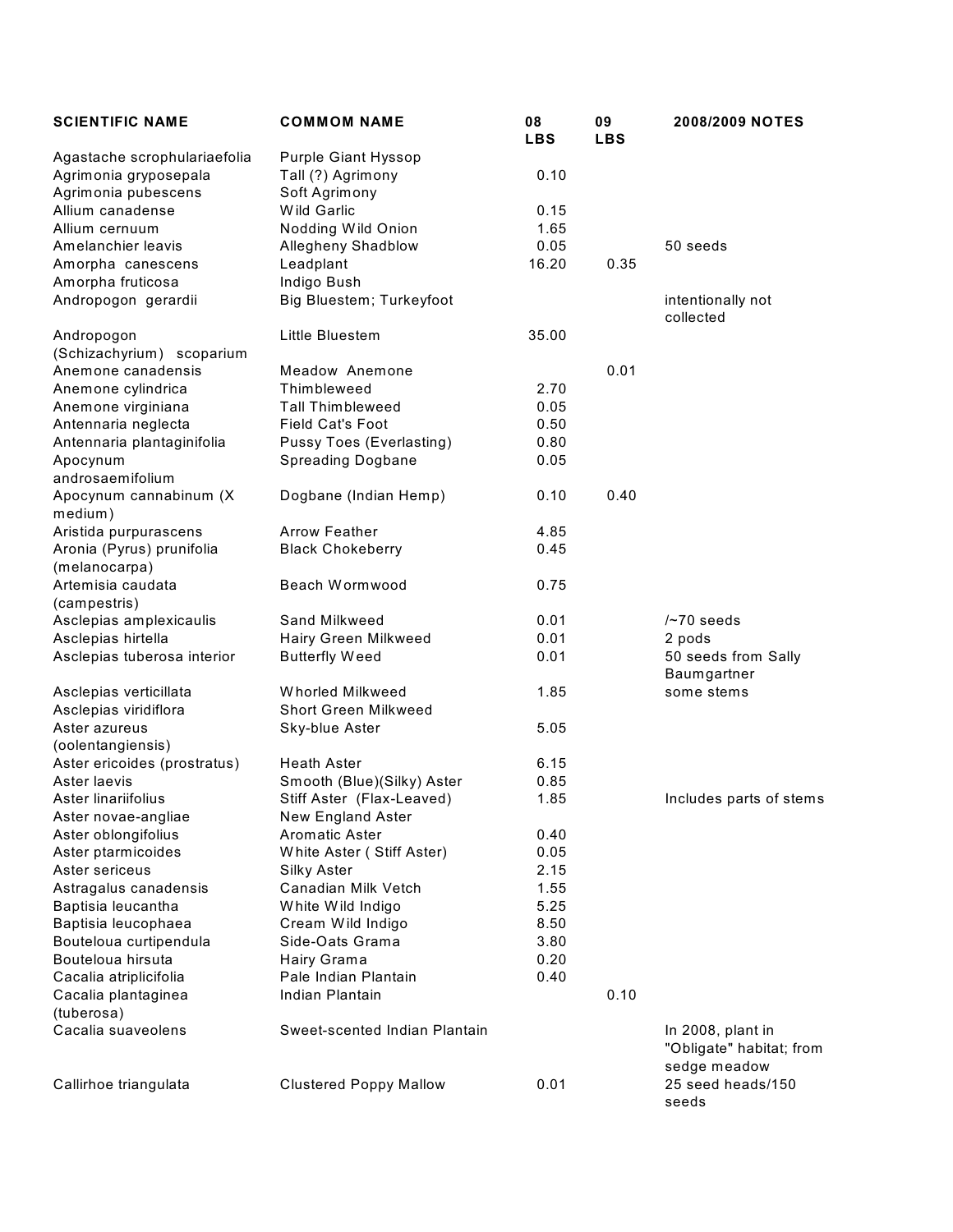| <b>SCIENTIFIC NAME</b>                     | <b>COMMOM NAME</b>              | 08<br><b>LBS</b> | 09<br><b>LBS</b> | 2008/2009 NOTES                               |
|--------------------------------------------|---------------------------------|------------------|------------------|-----------------------------------------------|
| Agastache scrophulariaefolia               | Purple Giant Hyssop             |                  |                  |                                               |
| Agrimonia gryposepala                      | Tall (?) Agrimony               | 0.10             |                  |                                               |
| Agrimonia pubescens                        | Soft Agrimony                   |                  |                  |                                               |
| Allium canadense                           | Wild Garlic                     | 0.15             |                  |                                               |
| Allium cernuum                             | Nodding Wild Onion              | 1.65             |                  |                                               |
| Amelanchier leavis                         | Allegheny Shadblow              | 0.05             |                  | 50 seeds                                      |
| Amorpha canescens                          | Leadplant                       | 16.20            | 0.35             |                                               |
| Amorpha fruticosa                          | Indigo Bush                     |                  |                  |                                               |
| Andropogon gerardii                        | Big Bluestem; Turkeyfoot        |                  |                  | intentionally not<br>collected                |
| Andropogon                                 | Little Bluestem                 | 35.00            |                  |                                               |
| (Schizachyrium) scoparium                  |                                 |                  |                  |                                               |
| Anemone canadensis                         | Meadow Anemone                  |                  | 0.01             |                                               |
| Anemone cylindrica                         | Thimbleweed                     | 2.70             |                  |                                               |
| Anemone virginiana                         | <b>Tall Thimbleweed</b>         | 0.05             |                  |                                               |
| Antennaria neglecta                        | <b>Field Cat's Foot</b>         | 0.50             |                  |                                               |
| Antennaria plantaginifolia                 | <b>Pussy Toes (Everlasting)</b> | 0.80             |                  |                                               |
| Apocynum<br>androsaemifolium               | <b>Spreading Dogbane</b>        | 0.05             |                  |                                               |
| Apocynum cannabinum (X<br>medium)          | Dogbane (Indian Hemp)           | 0.10             | 0.40             |                                               |
| Aristida purpurascens                      | <b>Arrow Feather</b>            | 4.85             |                  |                                               |
| Aronia (Pyrus) prunifolia<br>(melanocarpa) | <b>Black Chokeberry</b>         | 0.45             |                  |                                               |
| Artemisia caudata<br>(campestris)          | Beach Wormwood                  | 0.75             |                  |                                               |
| Asclepias amplexicaulis                    | Sand Milkweed                   | 0.01             |                  | $/$ ~70 seeds                                 |
| Asclepias hirtella                         | Hairy Green Milkweed            | 0.01             |                  | 2 pods                                        |
| Asclepias tuberosa interior                | <b>Butterfly Weed</b>           | 0.01             |                  | 50 seeds from Sally<br>Baumgartner            |
| Asclepias verticillata                     | Whorled Milkweed                | 1.85             |                  | some stems                                    |
| Asclepias viridiflora                      | <b>Short Green Milkweed</b>     |                  |                  |                                               |
| Aster azureus                              | Sky-blue Aster                  | 5.05             |                  |                                               |
| (oolentangiensis)                          |                                 |                  |                  |                                               |
| Aster ericoides (prostratus)               | <b>Heath Aster</b>              | 6.15             |                  |                                               |
| Aster laevis                               | Smooth (Blue)(Silky) Aster      | 0.85             |                  |                                               |
| Aster linariifolius                        | Stiff Aster (Flax-Leaved)       | 1.85             |                  | Includes parts of stems                       |
| Aster novae-angliae                        | New England Aster               |                  |                  |                                               |
| Aster oblongifolius                        | <b>Aromatic Aster</b>           | 0.40             |                  |                                               |
| Aster ptarmicoides                         | White Aster (Stiff Aster)       | 0.05             |                  |                                               |
| Aster sericeus                             | Silky Aster                     | 2.15             |                  |                                               |
| Astragalus canadensis                      | Canadian Milk Vetch             | 1.55             |                  |                                               |
| Baptisia leucantha                         | White Wild Indigo               | 5.25             |                  |                                               |
| Baptisia leucophaea                        | Cream Wild Indigo               | 8.50             |                  |                                               |
| Bouteloua curtipendula                     | Side-Oats Grama                 | 3.80             |                  |                                               |
| Bouteloua hirsuta                          | Hairy Grama                     | 0.20             |                  |                                               |
| Cacalia atriplicifolia                     | Pale Indian Plantain            | 0.40             |                  |                                               |
| Cacalia plantaginea                        | Indian Plantain                 |                  | 0.10             |                                               |
| (tuberosa)                                 |                                 |                  |                  |                                               |
| Cacalia suaveolens                         | Sweet-scented Indian Plantain   |                  |                  | In 2008, plant in<br>"Obligate" habitat; from |
| Callirhoe triangulata                      | <b>Clustered Poppy Mallow</b>   | 0.01             |                  | sedge meadow<br>25 seed heads/150<br>seeds    |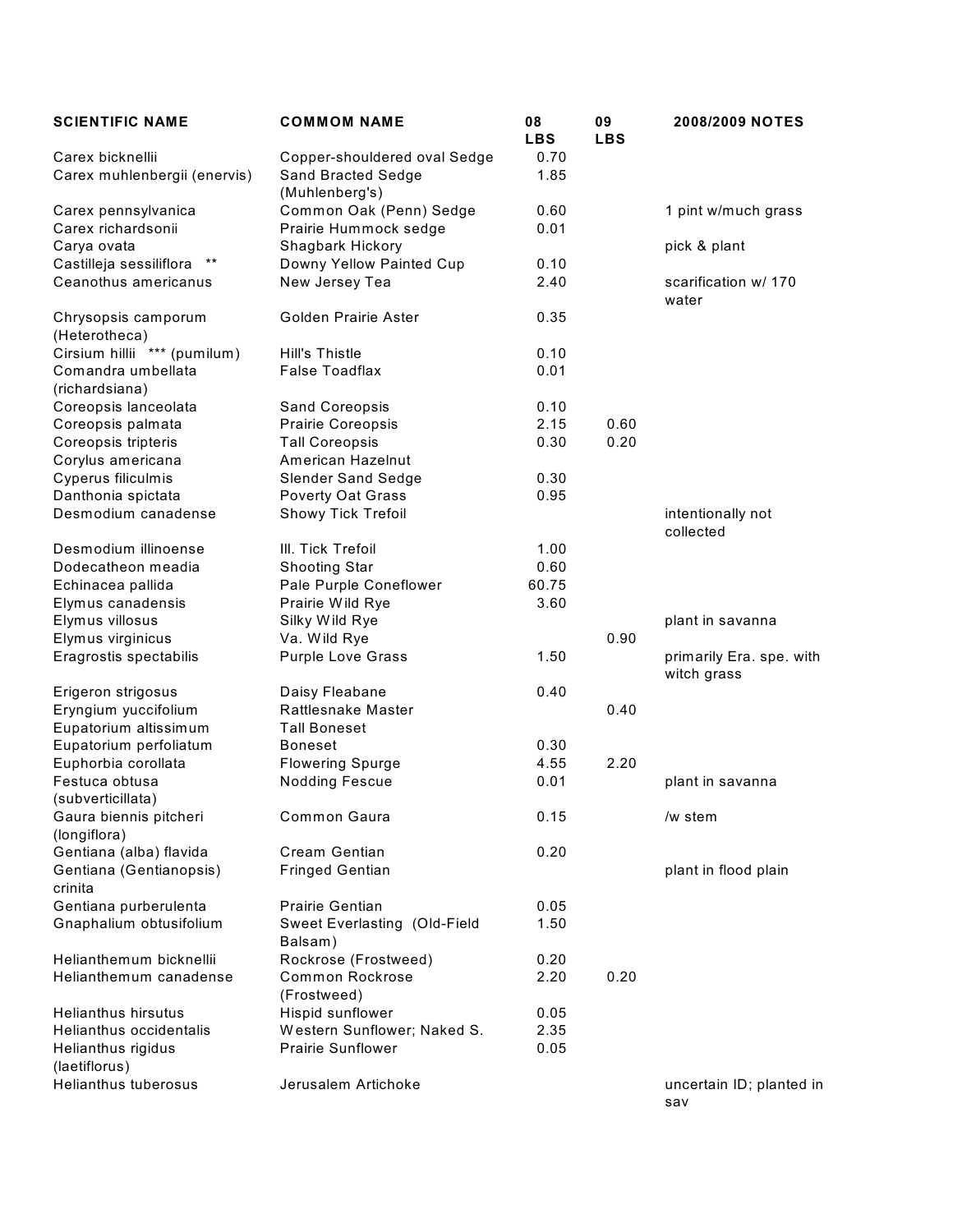| <b>SCIENTIFIC NAME</b>                           | <b>COMMOM NAME</b>                                                   | 08<br><b>LBS</b> | 09<br><b>LBS</b> | 2008/2009 NOTES                         |
|--------------------------------------------------|----------------------------------------------------------------------|------------------|------------------|-----------------------------------------|
| Carex bicknellii<br>Carex muhlenbergii (enervis) | Copper-shouldered oval Sedge<br>Sand Bracted Sedge<br>(Muhlenberg's) | 0.70<br>1.85     |                  |                                         |
| Carex pennsylvanica                              | Common Oak (Penn) Sedge                                              | 0.60             |                  | 1 pint w/much grass                     |
| Carex richardsonii                               | Prairie Hummock sedge                                                | 0.01             |                  |                                         |
| Carya ovata                                      | Shagbark Hickory                                                     |                  |                  | pick & plant                            |
| Castilleja sessiliflora<br>$***$                 | Downy Yellow Painted Cup                                             | 0.10             |                  |                                         |
| Ceanothus americanus                             | New Jersey Tea                                                       | 2.40             |                  | scarification w/ 170<br>water           |
| Chrysopsis camporum<br>(Heterotheca)             | Golden Prairie Aster                                                 | 0.35             |                  |                                         |
| Cirsium hillii *** (pumilum)                     | <b>Hill's Thistle</b>                                                | 0.10             |                  |                                         |
| Comandra umbellata<br>(richardsiana)             | <b>False Toadflax</b>                                                | 0.01             |                  |                                         |
| Coreopsis lanceolata                             | Sand Coreopsis                                                       | 0.10             |                  |                                         |
| Coreopsis palmata                                | Prairie Coreopsis                                                    | 2.15             | 0.60             |                                         |
| Coreopsis tripteris                              | <b>Tall Coreopsis</b>                                                | 0.30             | 0.20             |                                         |
| Corylus americana                                | American Hazelnut                                                    |                  |                  |                                         |
| Cyperus filiculmis                               | <b>Slender Sand Sedge</b>                                            | 0.30             |                  |                                         |
| Danthonia spictata                               | <b>Poverty Oat Grass</b>                                             | 0.95             |                  |                                         |
| Desmodium canadense                              | Showy Tick Trefoil                                                   |                  |                  | intentionally not<br>collected          |
| Desmodium illinoense                             | III. Tick Trefoil                                                    | 1.00             |                  |                                         |
| Dodecatheon meadia                               | Shooting Star                                                        | 0.60             |                  |                                         |
| Echinacea pallida                                | Pale Purple Coneflower                                               | 60.75            |                  |                                         |
| Elymus canadensis                                | Prairie Wild Rye                                                     | 3.60             |                  |                                         |
| Elymus villosus                                  | Silky Wild Rye                                                       |                  |                  | plant in savanna                        |
| Elymus virginicus                                | Va. Wild Rye                                                         |                  | 0.90             |                                         |
| Eragrostis spectabilis                           | <b>Purple Love Grass</b>                                             | 1.50             |                  | primarily Era. spe. with<br>witch grass |
| Erigeron strigosus                               | Daisy Fleabane                                                       | 0.40             |                  |                                         |
| Eryngium yuccifolium                             | Rattlesnake Master                                                   |                  | 0.40             |                                         |
| Eupatorium altissimum                            | <b>Tall Boneset</b>                                                  |                  |                  |                                         |
| Eupatorium perfoliatum                           | <b>Boneset</b>                                                       | 0.30             |                  |                                         |
| Euphorbia corollata                              | <b>Flowering Spurge</b>                                              | 4.55             | 2.20             |                                         |
| Festuca obtusa<br>(subverticillata)              | <b>Nodding Fescue</b>                                                | 0.01             |                  | plant in savanna                        |
| Gaura biennis pitcheri<br>(longiflora)           | <b>Common Gaura</b>                                                  | 0.15             |                  | /w stem                                 |
| Gentiana (alba) flavida                          | Cream Gentian                                                        | 0.20             |                  |                                         |
| Gentiana (Gentianopsis)<br>crinita               | <b>Fringed Gentian</b>                                               |                  |                  | plant in flood plain                    |
| Gentiana purberulenta                            | <b>Prairie Gentian</b>                                               | 0.05             |                  |                                         |
| Gnaphalium obtusifolium                          | Sweet Everlasting (Old-Field<br>Balsam)                              | 1.50             |                  |                                         |
| Helianthemum bicknellii                          | Rockrose (Frostweed)                                                 | 0.20             |                  |                                         |
| Helianthemum canadense                           | <b>Common Rockrose</b><br>(Frostweed)                                | 2.20             | 0.20             |                                         |
| Helianthus hirsutus                              | Hispid sunflower                                                     | 0.05             |                  |                                         |
| <b>Helianthus occidentalis</b>                   | Western Sunflower; Naked S.                                          | 2.35             |                  |                                         |
| Helianthus rigidus<br>(laetiflorus)              | <b>Prairie Sunflower</b>                                             | 0.05             |                  |                                         |
| <b>Helianthus tuberosus</b>                      | Jerusalem Artichoke                                                  |                  |                  | uncertain ID; planted in<br>sav         |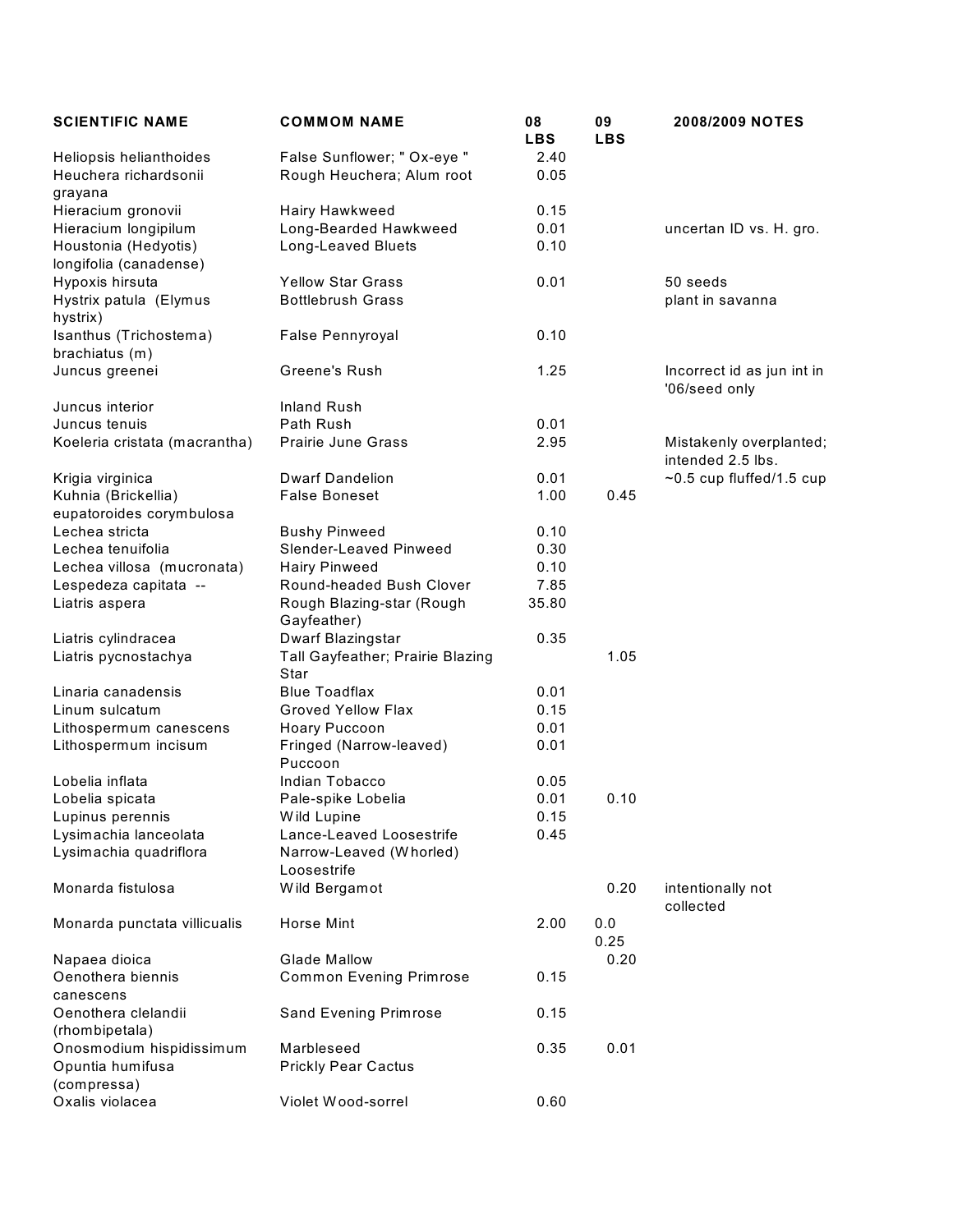| <b>SCIENTIFIC NAME</b>                                      | <b>COMMOM NAME</b>                       | 08<br><b>LBS</b> | 09<br><b>LBS</b> | 2008/2009 NOTES                              |
|-------------------------------------------------------------|------------------------------------------|------------------|------------------|----------------------------------------------|
| Heliopsis helianthoides                                     | False Sunflower; " Ox-eye "              | 2.40             |                  |                                              |
| Heuchera richardsonii<br>grayana                            | Rough Heuchera; Alum root                | 0.05             |                  |                                              |
| Hieracium gronovii                                          | Hairy Hawkweed                           | 0.15             |                  |                                              |
| Hieracium longipilum                                        | Long-Bearded Hawkweed                    | 0.01             |                  | uncertan ID vs. H. gro.                      |
| Houstonia (Hedyotis)<br>longifolia (canadense)              | Long-Leaved Bluets                       | 0.10             |                  |                                              |
| Hypoxis hirsuta                                             | <b>Yellow Star Grass</b>                 | 0.01             |                  | 50 seeds                                     |
| Hystrix patula (Elymus<br>hystrix)                          | <b>Bottlebrush Grass</b>                 |                  |                  | plant in savanna                             |
| Isanthus (Trichostema)<br>brachiatus (m)                    | False Pennyroyal                         | 0.10             |                  |                                              |
| Juncus greenei                                              | Greene's Rush                            | 1.25             |                  | Incorrect id as jun int in<br>'06/seed only  |
| Juncus interior                                             | <b>Inland Rush</b>                       |                  |                  |                                              |
| Juncus tenuis                                               | Path Rush                                | 0.01             |                  |                                              |
| Koeleria cristata (macrantha)                               | <b>Prairie June Grass</b>                | 2.95             |                  | Mistakenly overplanted;<br>intended 2.5 lbs. |
| Krigia virginica                                            | <b>Dwarf Dandelion</b>                   | 0.01             |                  | $~0.5$ cup fluffed/1.5 cup                   |
| Kuhnia (Brickellia)<br>eupatoroides corymbulosa             | <b>False Boneset</b>                     | 1.00             | 0.45             |                                              |
| Lechea stricta                                              | <b>Bushy Pinweed</b>                     | 0.10             |                  |                                              |
| Lechea tenuifolia                                           | Slender-Leaved Pinweed                   | 0.30             |                  |                                              |
| Lechea villosa (mucronata)                                  | <b>Hairy Pinweed</b>                     | 0.10             |                  |                                              |
| Lespedeza capitata --                                       | Round-headed Bush Clover                 | 7.85             |                  |                                              |
| Liatris aspera                                              | Rough Blazing-star (Rough<br>Gayfeather) | 35.80            |                  |                                              |
| Liatris cylindracea                                         | Dwarf Blazingstar                        | 0.35             |                  |                                              |
| Liatris pycnostachya                                        | Tall Gayfeather; Prairie Blazing<br>Star |                  | 1.05             |                                              |
| Linaria canadensis                                          | <b>Blue Toadflax</b>                     | 0.01             |                  |                                              |
| Linum sulcatum                                              | <b>Groved Yellow Flax</b>                | 0.15             |                  |                                              |
| Lithospermum canescens                                      | Hoary Puccoon                            | 0.01             |                  |                                              |
| Lithospermum incisum                                        | Fringed (Narrow-leaved)<br>Puccoon       | 0.01             |                  |                                              |
| Lobelia inflata                                             | Indian Tobacco                           | 0.05             |                  |                                              |
| Lobelia spicata                                             | Pale-spike Lobelia                       | 0.01             | 0.10             |                                              |
| Lupinus perennis                                            | Wild Lupine                              | 0.15             |                  |                                              |
| Lysimachia lanceolata                                       | Lance-Leaved Loosestrife                 | 0.45             |                  |                                              |
| Lysimachia quadriflora                                      | Narrow-Leaved (Whorled)<br>Loosestrife   |                  |                  |                                              |
| Monarda fistulosa                                           | Wild Bergamot                            |                  | 0.20             | intentionally not<br>collected               |
| Monarda punctata villicualis                                | Horse Mint                               | 2.00             | 0.0<br>0.25      |                                              |
| Napaea dioica                                               | <b>Glade Mallow</b>                      |                  | 0.20             |                                              |
| Oenothera biennis<br>canescens                              | <b>Common Evening Primrose</b>           | 0.15             |                  |                                              |
| Oenothera clelandii<br>(rhombipetala)                       | Sand Evening Primrose                    | 0.15             |                  |                                              |
| Onosmodium hispidissimum<br>Opuntia humifusa<br>(compressa) | Marbleseed<br><b>Prickly Pear Cactus</b> | 0.35             | 0.01             |                                              |
| Oxalis violacea                                             | Violet Wood-sorrel                       | 0.60             |                  |                                              |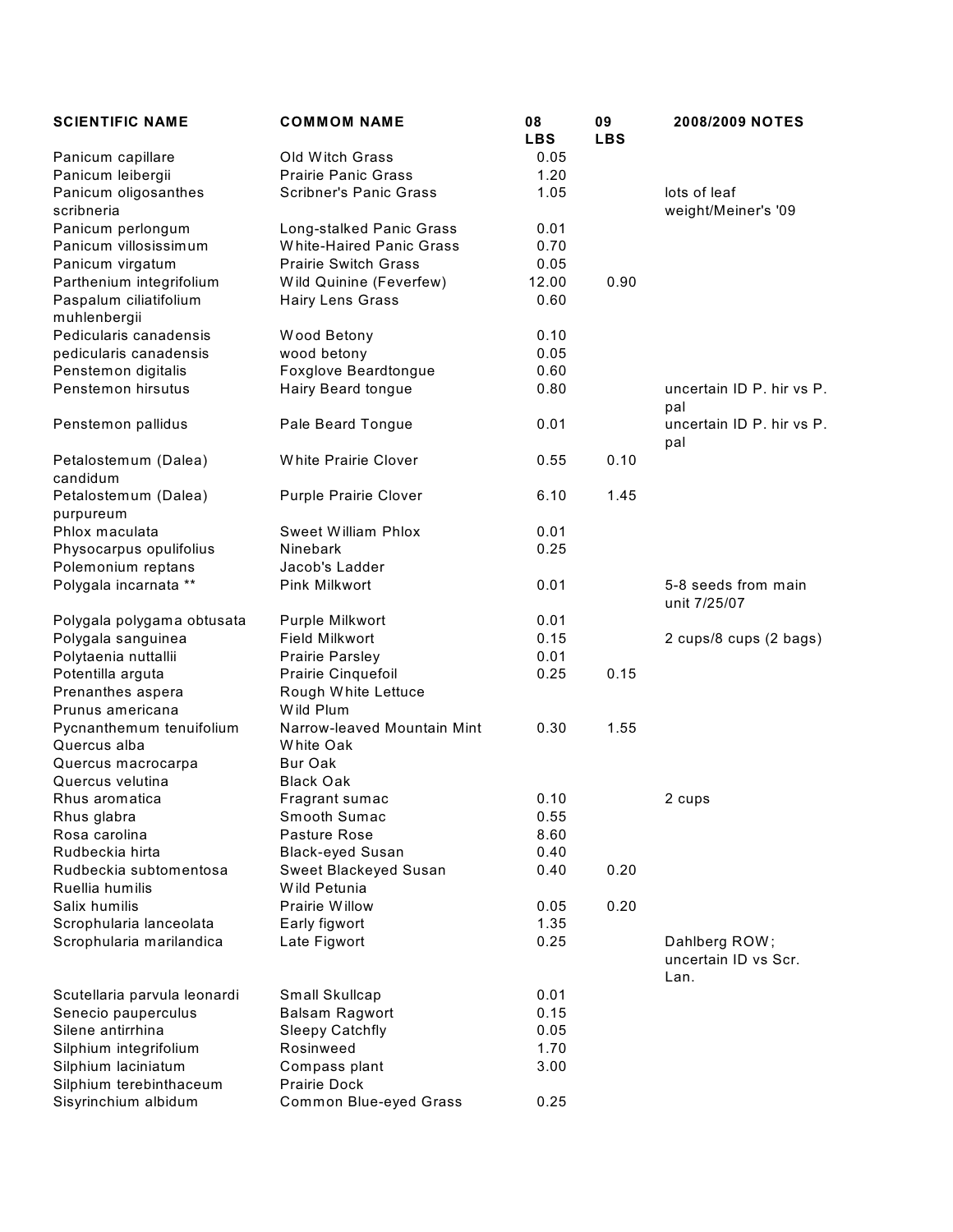| <b>SCIENTIFIC NAME</b>                 | <b>COMMOM NAME</b>            | 08<br><b>LBS</b> | 09<br><b>LBS</b> | <b>2008/2009 NOTES</b>                        |
|----------------------------------------|-------------------------------|------------------|------------------|-----------------------------------------------|
| Panicum capillare                      | Old Witch Grass               | 0.05             |                  |                                               |
| Panicum leibergii                      | <b>Prairie Panic Grass</b>    | 1.20             |                  |                                               |
| Panicum oligosanthes<br>scribneria     | <b>Scribner's Panic Grass</b> | 1.05             |                  | lots of leaf<br>weight/Meiner's '09           |
| Panicum perlongum                      | Long-stalked Panic Grass      | 0.01             |                  |                                               |
| Panicum villosissimum                  | White-Haired Panic Grass      | 0.70             |                  |                                               |
| Panicum virgatum                       | <b>Prairie Switch Grass</b>   | 0.05             |                  |                                               |
| Parthenium integrifolium               | Wild Quinine (Feverfew)       | 12.00            | 0.90             |                                               |
| Paspalum ciliatifolium<br>muhlenbergii | Hairy Lens Grass              | 0.60             |                  |                                               |
| Pedicularis canadensis                 | Wood Betony                   | 0.10             |                  |                                               |
| pedicularis canadensis                 | wood betony                   | 0.05             |                  |                                               |
| Penstemon digitalis                    | Foxglove Beardtongue          | 0.60             |                  |                                               |
| Penstemon hirsutus                     | Hairy Beard tongue            | 0.80             |                  | uncertain ID P. hir vs P.<br>pal              |
| Penstemon pallidus                     | Pale Beard Tongue             | 0.01             |                  | uncertain ID P. hir vs P.<br>pal              |
| Petalostemum (Dalea)<br>candidum       | White Prairie Clover          | 0.55             | 0.10             |                                               |
| Petalostemum (Dalea)<br>purpureum      | <b>Purple Prairie Clover</b>  | 6.10             | 1.45             |                                               |
| Phlox maculata                         | <b>Sweet William Phlox</b>    | 0.01             |                  |                                               |
| Physocarpus opulifolius                | Ninebark                      | 0.25             |                  |                                               |
| Polemonium reptans                     | Jacob's Ladder                |                  |                  |                                               |
| Polygala incarnata **                  | Pink Milkwort                 | 0.01             |                  | 5-8 seeds from main<br>unit 7/25/07           |
| Polygala polygama obtusata             | Purple Milkwort               | 0.01             |                  |                                               |
| Polygala sanguinea                     | <b>Field Milkwort</b>         | 0.15             |                  | 2 cups/8 cups (2 bags)                        |
| Polytaenia nuttallii                   | <b>Prairie Parsley</b>        | 0.01             |                  |                                               |
| Potentilla arguta                      | Prairie Cinquefoil            | 0.25             | 0.15             |                                               |
| Prenanthes aspera                      | Rough White Lettuce           |                  |                  |                                               |
| Prunus americana                       | Wild Plum                     |                  |                  |                                               |
| Pycnanthemum tenuifolium               | Narrow-leaved Mountain Mint   | 0.30             | 1.55             |                                               |
| Quercus alba                           | White Oak                     |                  |                  |                                               |
| Quercus macrocarpa                     | Bur Oak                       |                  |                  |                                               |
| Quercus velutina                       | <b>Black Oak</b>              |                  |                  |                                               |
| Rhus aromatica                         | Fragrant sumac                | 0.10             |                  | 2 cups                                        |
| Rhus glabra                            | Smooth Sumac                  | 0.55             |                  |                                               |
| Rosa carolina                          | Pasture Rose                  | 8.60             |                  |                                               |
| Rudbeckia hirta                        | <b>Black-eyed Susan</b>       | 0.40             |                  |                                               |
| Rudbeckia subtomentosa                 | Sweet Blackeyed Susan         | 0.40             | 0.20             |                                               |
| Ruellia humilis                        | Wild Petunia                  |                  |                  |                                               |
| Salix humilis                          | Prairie Willow                | 0.05             | 0.20             |                                               |
|                                        |                               |                  |                  |                                               |
| Scrophularia lanceolata                | Early figwort                 | 1.35             |                  |                                               |
| Scrophularia marilandica               | Late Figwort                  | 0.25             |                  | Dahlberg ROW;<br>uncertain ID vs Scr.<br>Lan. |
| Scutellaria parvula leonardi           | Small Skullcap                | 0.01             |                  |                                               |
| Senecio pauperculus                    | <b>Balsam Ragwort</b>         | 0.15             |                  |                                               |
| Silene antirrhina                      | <b>Sleepy Catchfly</b>        | 0.05             |                  |                                               |
| Silphium integrifolium                 | Rosinweed                     | 1.70             |                  |                                               |
| Silphium laciniatum                    | Compass plant                 | 3.00             |                  |                                               |
| Silphium terebinthaceum                | Prairie Dock                  |                  |                  |                                               |
| Sisyrinchium albidum                   | Common Blue-eyed Grass        | 0.25             |                  |                                               |
|                                        |                               |                  |                  |                                               |